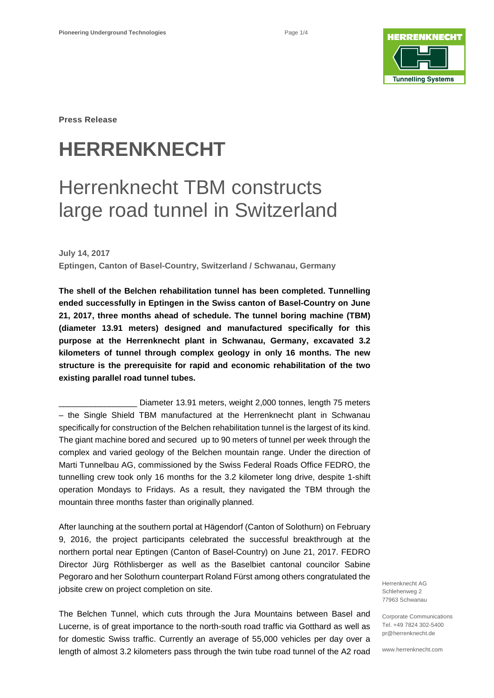

**Press Release**

# **HERRENKNECHT**

## Herrenknecht TBM constructs large road tunnel in Switzerland

**July 14, 2017 Eptingen, Canton of Basel-Country, Switzerland / Schwanau, Germany**

**The shell of the Belchen rehabilitation tunnel has been completed. Tunnelling ended successfully in Eptingen in the Swiss canton of Basel-Country on June 21, 2017, three months ahead of schedule. The tunnel boring machine (TBM) (diameter 13.91 meters) designed and manufactured specifically for this purpose at the Herrenknecht plant in Schwanau, Germany, excavated 3.2 kilometers of tunnel through complex geology in only 16 months. The new structure is the prerequisite for rapid and economic rehabilitation of the two existing parallel road tunnel tubes.** 

Diameter 13.91 meters, weight 2,000 tonnes, length 75 meters – the Single Shield TBM manufactured at the Herrenknecht plant in Schwanau specifically for construction of the Belchen rehabilitation tunnel is the largest of its kind. The giant machine bored and secured up to 90 meters of tunnel per week through the complex and varied geology of the Belchen mountain range. Under the direction of Marti Tunnelbau AG, commissioned by the Swiss Federal Roads Office FEDRO, the tunnelling crew took only 16 months for the 3.2 kilometer long drive, despite 1-shift operation Mondays to Fridays. As a result, they navigated the TBM through the mountain three months faster than originally planned.

After launching at the southern portal at Hägendorf (Canton of Solothurn) on February 9, 2016, the project participants celebrated the successful breakthrough at the northern portal near Eptingen (Canton of Basel-Country) on June 21, 2017. FEDRO Director Jürg Röthlisberger as well as the Baselbiet cantonal councilor Sabine Pegoraro and her Solothurn counterpart Roland Fürst among others congratulated the jobsite crew on project completion on site.

The Belchen Tunnel, which cuts through the Jura Mountains between Basel and Lucerne, is of great importance to the north-south road traffic via Gotthard as well as for domestic Swiss traffic. Currently an average of 55,000 vehicles per day over a length of almost 3.2 kilometers pass through the twin tube road tunnel of the A2 road

Herrenknecht AG Schlehenweg 2 77963 Schwanau

Corporate Communications Tel. +49 7824 302-5400 pr@herrenknecht.de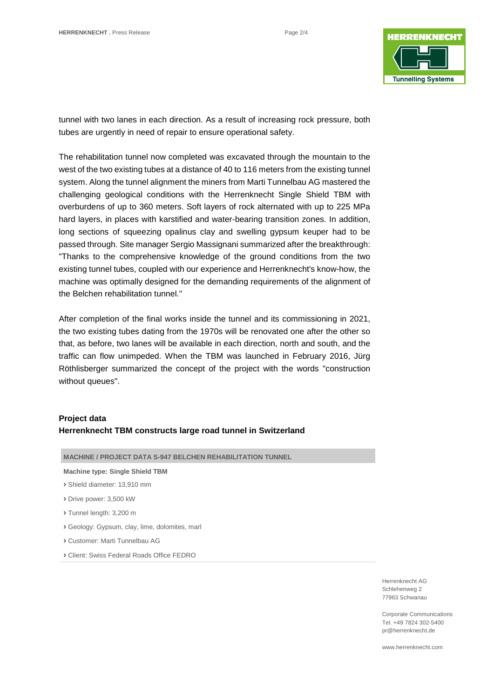

tunnel with two lanes in each direction. As a result of increasing rock pressure, both tubes are urgently in need of repair to ensure operational safety.

The rehabilitation tunnel now completed was excavated through the mountain to the west of the two existing tubes at a distance of 40 to 116 meters from the existing tunnel system. Along the tunnel alignment the miners from Marti Tunnelbau AG mastered the challenging geological conditions with the Herrenknecht Single Shield TBM with overburdens of up to 360 meters. Soft layers of rock alternated with up to 225 MPa hard layers, in places with karstified and water-bearing transition zones. In addition, long sections of squeezing opalinus clay and swelling gypsum keuper had to be passed through. Site manager Sergio Massignani summarized after the breakthrough: "Thanks to the comprehensive knowledge of the ground conditions from the two existing tunnel tubes, coupled with our experience and Herrenknecht's know-how, the machine was optimally designed for the demanding requirements of the alignment of the Belchen rehabilitation tunnel."

After completion of the final works inside the tunnel and its commissioning in 2021, the two existing tubes dating from the 1970s will be renovated one after the other so that, as before, two lanes will be available in each direction, north and south, and the traffic can flow unimpeded. When the TBM was launched in February 2016, Jürg Röthlisberger summarized the concept of the project with the words "construction without queues".

## **Project data**

## **Herrenknecht TBM constructs large road tunnel in Switzerland**

|  | <b>MACHINE / PROJECT DATA S-947 BELCHEN REHABILITATION TUNNEL</b> |
|--|-------------------------------------------------------------------|
|--|-------------------------------------------------------------------|

#### **Machine type: Single Shield TBM**

- › Shield diameter: 13,910 mm
- › Drive power: 3,500 kW
- › Tunnel length: 3,200 m
- › Geology: Gypsum, clay, lime, dolomites, marl
- › Customer: Marti Tunnelbau AG
- › Client: Swiss Federal Roads Office FEDRO

Herrenknecht AG Schlehenweg 2 77963 Schwanau

Corporate Communications Tel. +49 7824 302-5400 pr@herrenknecht.de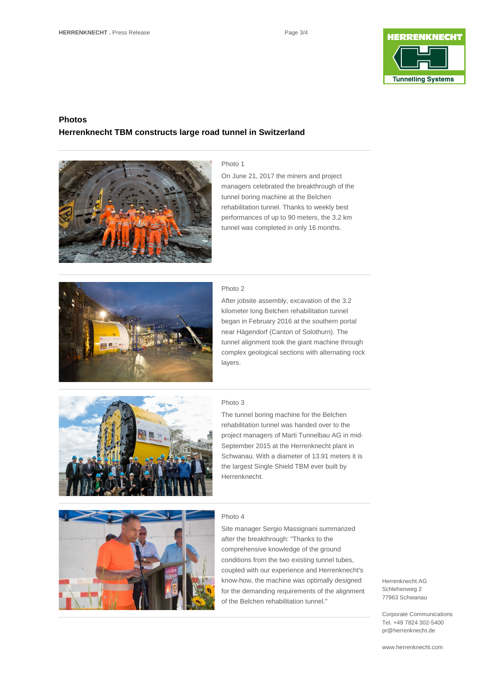

## **Photos Herrenknecht TBM constructs large road tunnel in Switzerland**



#### Photo 1

On June 21, 2017 the miners and project managers celebrated the breakthrough of the tunnel boring machine at the Belchen rehabilitation tunnel. Thanks to weekly best performances of up to 90 meters, the 3.2 km tunnel was completed in only 16 months.



#### Photo 2

After jobsite assembly, excavation of the 3.2 kilometer long Belchen rehabilitation tunnel began in February 2016 at the southern portal near Hägendorf (Canton of Solothurn). The tunnel alignment took the giant machine through complex geological sections with alternating rock layers.



### Photo 3

The tunnel boring machine for the Belchen rehabilitation tunnel was handed over to the project managers of Marti Tunnelbau AG in mid-September 2015 at the Herrenknecht plant in Schwanau. With a diameter of 13.91 meters it is the largest Single Shield TBM ever built by Herrenknecht.



#### Photo 4

Site manager Sergio Massignani summarized after the breakthrough: "Thanks to the comprehensive knowledge of the ground conditions from the two existing tunnel tubes, coupled with our experience and Herrenknecht's know-how, the machine was optimally designed for the demanding requirements of the alignment of the Belchen rehabilitation tunnel."

#### Herrenknecht AG Schlehenweg 2 77963 Schwanau

Corporate Communications Tel. +49 7824 302-5400 pr@herrenknecht.de